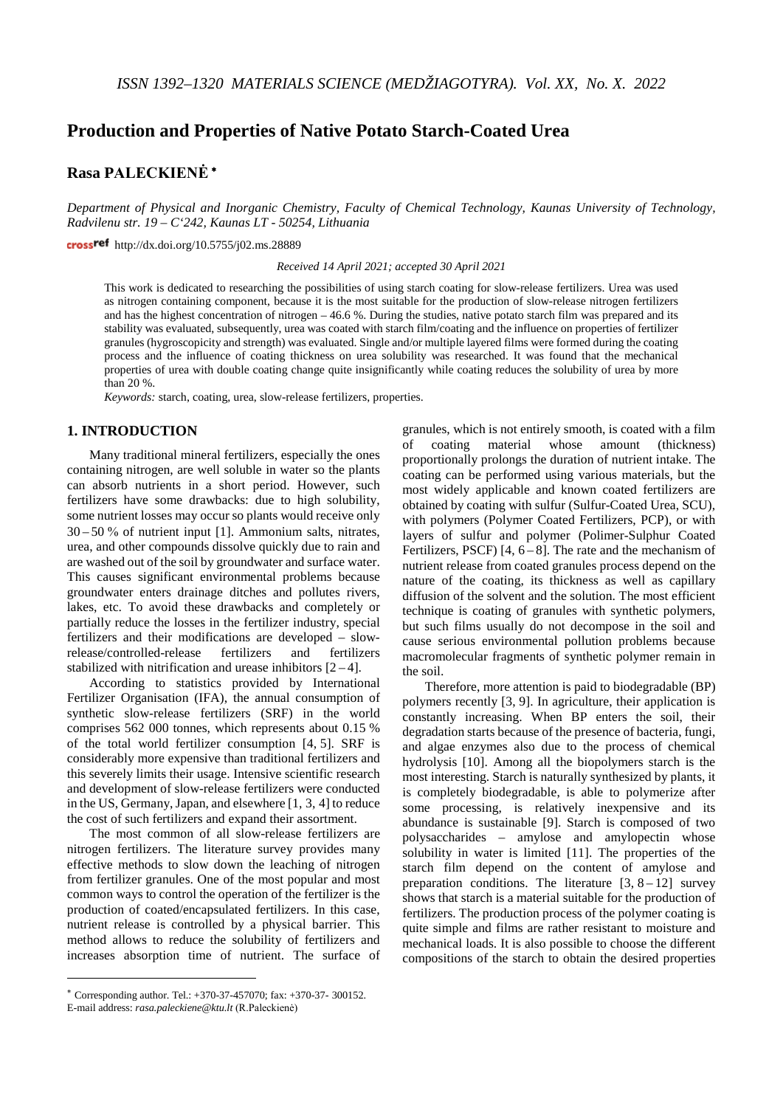# **Production and Properties of Native Potato Starch-Coated Urea**

**Rasa PALECKIENĖ** <sup>∗</sup>

*Department of Physical and Inorganic Chemistry, Faculty of Chemical Technology, Kaunas University of Technology, Radvilenu str. 19 – C'242, Kaunas LT - 50254, Lithuania*

cross<sup>ref</sup> http://dx.doi.org/10.5755/j02.ms.28889

*Received 14 April 2021; accepted 30 April 2021*

This work is dedicated to researching the possibilities of using starch coating for slow-release fertilizers. Urea was used as nitrogen containing component, because it is the most suitable for the production of slow-release nitrogen fertilizers and has the highest concentration of nitrogen – 46.6 %. During the studies, native potato starch film was prepared and its stability was evaluated, subsequently, urea was coated with starch film/coating and the influence on properties of fertilizer granules (hygroscopicity and strength) was evaluated. Single and/or multiple layered films were formed during the coating process and the influence of coating thickness on urea solubility was researched. It was found that the mechanical properties of urea with double coating change quite insignificantly while coating reduces the solubility of urea by more than 20 %.

*Keywords:* starch, coating, urea, slow-release fertilizers, properties.

## **1. INTRODUCTION**[∗](#page-0-0)

Many traditional mineral fertilizers, especially the ones containing nitrogen, are well soluble in water so the plants can absorb nutrients in a short period. However, such fertilizers have some drawbacks: due to high solubility, some nutrient losses may occur so plants would receive only 30 – 50 % of nutrient input [1]. Ammonium salts, nitrates, urea, and other compounds dissolve quickly due to rain and are washed out of the soil by groundwater and surface water. This causes significant environmental problems because groundwater enters drainage ditches and pollutes rivers, lakes, etc. To avoid these drawbacks and completely or partially reduce the losses in the fertilizer industry, special fertilizers and their modifications are developed – slowrelease/controlled-release fertilizers and fertilizers stabilized with nitrification and urease inhibitors  $[2-4]$ .

According to statistics provided by International Fertilizer Organisation (IFA), the annual consumption of synthetic slow-release fertilizers (SRF) in the world comprises 562 000 tonnes, which represents about 0.15 % of the total world fertilizer consumption [4, 5]. SRF is considerably more expensive than traditional fertilizers and this severely limits their usage. Intensive scientific research and development of slow-release fertilizers were conducted in the US, Germany, Japan, and elsewhere [1, 3, 4] to reduce the cost of such fertilizers and expand their assortment.

The most common of all slow-release fertilizers are nitrogen fertilizers. The literature survey provides many effective methods to slow down the leaching of nitrogen from fertilizer granules. One of the most popular and most common ways to control the operation of the fertilizer is the production of coated/encapsulated fertilizers. In this case, nutrient release is controlled by a physical barrier. This method allows to reduce the solubility of fertilizers and increases absorption time of nutrient. The surface of

<u>.</u>

granules, which is not entirely smooth, is coated with a film<br>of coating material whose amount (thickness) of coating material whose amount (thickness) proportionally prolongs the duration of nutrient intake. The coating can be performed using various materials, but the most widely applicable and known coated fertilizers are obtained by coating with sulfur (Sulfur-Coated Urea, SCU), with polymers (Polymer Coated Fertilizers, PCP), or with layers of sulfur and polymer (Polimer-Sulphur Coated Fertilizers, PSCF)  $[4, 6-8]$ . The rate and the mechanism of nutrient release from coated granules process depend on the nature of the coating, its thickness as well as capillary diffusion of the solvent and the solution. The most efficient technique is coating of granules with synthetic polymers, but such films usually do not decompose in the soil and cause serious environmental pollution problems because macromolecular fragments of synthetic polymer remain in the soil.

Therefore, more attention is paid to biodegradable (BP) polymers recently [3, 9]. In agriculture, their application is constantly increasing. When BP enters the soil, their degradation starts because of the presence of bacteria, fungi, and algae enzymes also due to the process of chemical hydrolysis [10]. Among all the biopolymers starch is the most interesting. Starch is naturally synthesized by plants, it is completely biodegradable, is able to polymerize after some processing, is relatively inexpensive and its abundance is sustainable [9]. Starch is composed of two polysaccharides – amylose and amylopectin whose solubility in water is limited [11]. The properties of the starch film depend on the content of amylose and preparation conditions. The literature  $[3, 8 - 12]$  survey shows that starch is a material suitable for the production of fertilizers. The production process of the polymer coating is quite simple and films are rather resistant to moisture and mechanical loads. It is also possible to choose the different compositions of the starch to obtain the desired properties

<span id="page-0-0"></span><sup>∗</sup> Corresponding author. Tel.: +370-37-457070; fax: +370-37- 300152. E-mail address: *rasa.paleckiene@ktu.lt* (R.Paleckienė)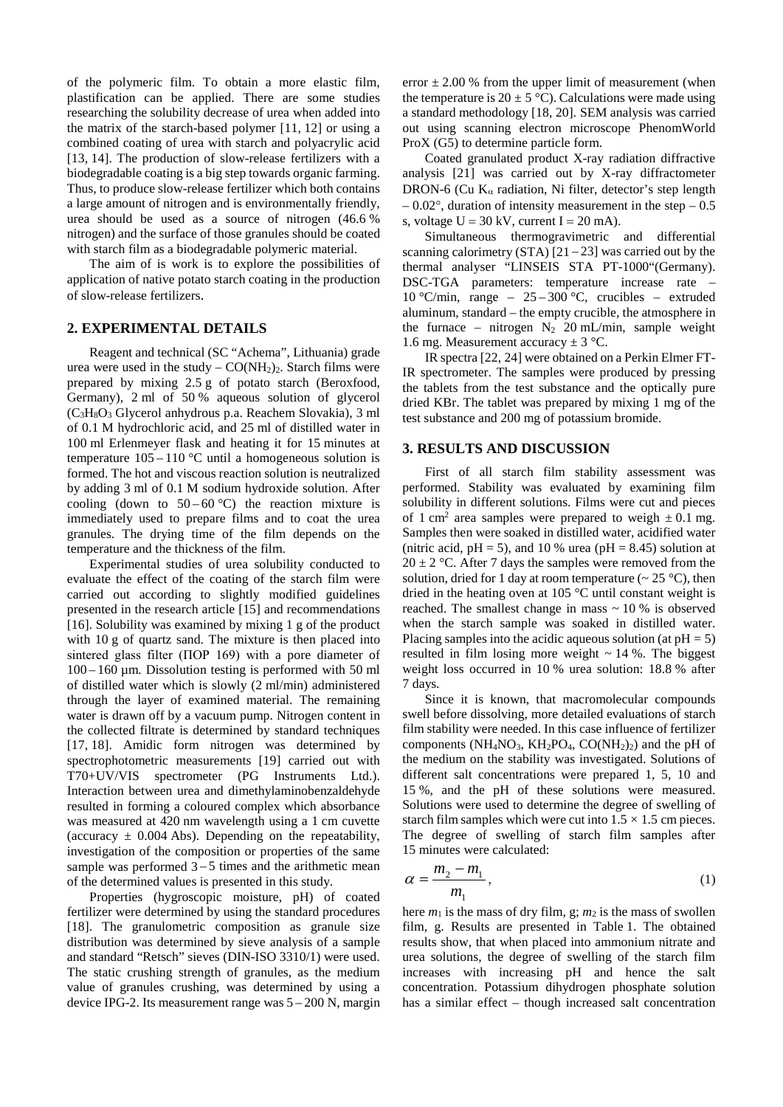of the polymeric film. To obtain a more elastic film, plastification can be applied. There are some studies researching the solubility decrease of urea when added into the matrix of the starch-based polymer [11, 12] or using a combined coating of urea with starch and polyacrylic acid [13, 14]. The production of slow-release fertilizers with a biodegradable coating is a big step towards organic farming. Thus, to produce slow-release fertilizer which both contains a large amount of nitrogen and is environmentally friendly, urea should be used as a source of nitrogen (46.6 % nitrogen) and the surface of those granules should be coated with starch film as a biodegradable polymeric material.

The aim of is work is to explore the possibilities of application of native potato starch coating in the production of slow-release fertilizers.

### **2. EXPERIMENTAL DETAILS**

Reagent and technical (SC "Achema", Lithuania) grade urea were used in the study –  $CO(NH<sub>2</sub>)<sub>2</sub>$ . Starch films were prepared by mixing 2.5 g of potato starch (Beroxfood, Germany), 2 ml of 50 % aqueous solution of glycerol  $(C_3H_8O_3$  Glycerol anhydrous p.a. Reachem Slovakia), 3 ml of 0.1 M hydrochloric acid, and 25 ml of distilled water in 100 ml Erlenmeyer flask and heating it for 15 minutes at temperature  $105 - 110$  °C until a homogeneous solution is formed. The hot and viscous reaction solution is neutralized by adding 3 ml of 0.1 M sodium hydroxide solution. After cooling (down to  $50 - 60$  °C) the reaction mixture is immediately used to prepare films and to coat the urea granules. The drying time of the film depends on the temperature and the thickness of the film.

Experimental studies of urea solubility conducted to evaluate the effect of the coating of the starch film were carried out according to slightly modified guidelines presented in the research article [15] and recommendations [16]. Solubility was examined by mixing 1 g of the product with 10 g of quartz sand. The mixture is then placed into sintered glass filter (ПОР 169) with a pore diameter of  $100 - 160$  µm. Dissolution testing is performed with 50 ml of distilled water which is slowly (2 ml/min) administered through the layer of examined material. The remaining water is drawn off by a vacuum pump. Nitrogen content in the collected filtrate is determined by standard techniques [17, 18]. Amidic form nitrogen was determined by spectrophotometric measurements [19] carried out with T70+UV/VIS spectrometer (PG Instruments Ltd.). Interaction between urea and dimethylaminobenzaldehyde resulted in forming a coloured complex which absorbance was measured at 420 nm wavelength using a 1 cm cuvette (accuracy  $\pm$  0.004 Abs). Depending on the repeatability, investigation of the composition or properties of the same sample was performed  $3-5$  times and the arithmetic mean of the determined values is presented in this study.

Properties (hygroscopic moisture, pH) of coated fertilizer were determined by using the standard procedures [18]. The granulometric composition as granule size distribution was determined by sieve analysis of a sample and standard "Retsch" sieves (DIN-ISO 3310/1) were used. The static crushing strength of granules, as the medium value of granules crushing, was determined by using a device IPG-2. Its measurement range was 5 – 200 N, margin error  $\pm$  2.00 % from the upper limit of measurement (when the temperature is  $20 \pm 5^{\circ}$ C). Calculations were made using a standard methodology [18, 20]. SEM analysis was carried out using scanning electron microscope PhenomWorld ProX (G5) to determine particle form.

Coated granulated product X-ray radiation diffractive analysis [21] was carried out by X-ray diffractometer DRON-6 (Cu  $K_{\alpha}$  radiation, Ni filter, detector's step length  $-0.02^{\circ}$ , duration of intensity measurement in the step  $-0.5$ s, voltage  $U = 30$  kV, current I = 20 mA).

Simultaneous thermogravimetric and differential scanning calorimetry  $(STA)$  [21 – 23] was carried out by the thermal analyser "LINSEIS STA PT-1000"(Germany). DSC-TGA parameters: temperature increase rate – 10 °C/min, range –  $25-300$  °C, crucibles – extruded aluminum, standard – the empty crucible, the atmosphere in the furnace – nitrogen  $N_2$  20 mL/min, sample weight 1.6 mg. Measurement accuracy  $\pm$  3 °C.

IR spectra [22, 24] were obtained on a Perkin Elmer FT-IR spectrometer. The samples were produced by pressing the tablets from the test substance and the optically pure dried KBr. The tablet was prepared by mixing 1 mg of the test substance and 200 mg of potassium bromide.

#### **3. RESULTS AND DISCUSSION**

First of all starch film stability assessment was performed. Stability was evaluated by examining film solubility in different solutions. Films were cut and pieces of 1 cm<sup>2</sup> area samples were prepared to weigh  $\pm$  0.1 mg. Samples then were soaked in distilled water, acidified water (nitric acid,  $pH = 5$ ), and 10 % urea ( $pH = 8.45$ ) solution at  $20 \pm 2$  °C. After 7 days the samples were removed from the solution, dried for 1 day at room temperature ( $\sim$  25 °C), then dried in the heating oven at 105 °C until constant weight is reached. The smallest change in mass  $\sim$  10 % is observed when the starch sample was soaked in distilled water. Placing samples into the acidic aqueous solution (at  $pH = 5$ ) resulted in film losing more weight ~ 14 %. The biggest weight loss occurred in 10 % urea solution: 18.8 % after 7 days.

Since it is known, that macromolecular compounds swell before dissolving, more detailed evaluations of starch film stability were needed. In this case influence of fertilizer components ( $NH_4NO_3$ ,  $KH_2PO_4$ ,  $CO(NH_2)_2$ ) and the pH of the medium on the stability was investigated. Solutions of different salt concentrations were prepared 1, 5, 10 and 15 %, and the pH of these solutions were measured. Solutions were used to determine the degree of swelling of starch film samples which were cut into  $1.5 \times 1.5$  cm pieces. The degree of swelling of starch film samples after 15 minutes were calculated:

$$
\alpha = \frac{m_2 - m_1}{m_1},\tag{1}
$$

here  $m_1$  is the mass of dry film, g;  $m_2$  is the mass of swollen film, g. Results are presented in Table 1. The obtained results show, that when placed into ammonium nitrate and urea solutions, the degree of swelling of the starch film increases with increasing pH and hence the salt concentration. Potassium dihydrogen phosphate solution has a similar effect – though increased salt concentration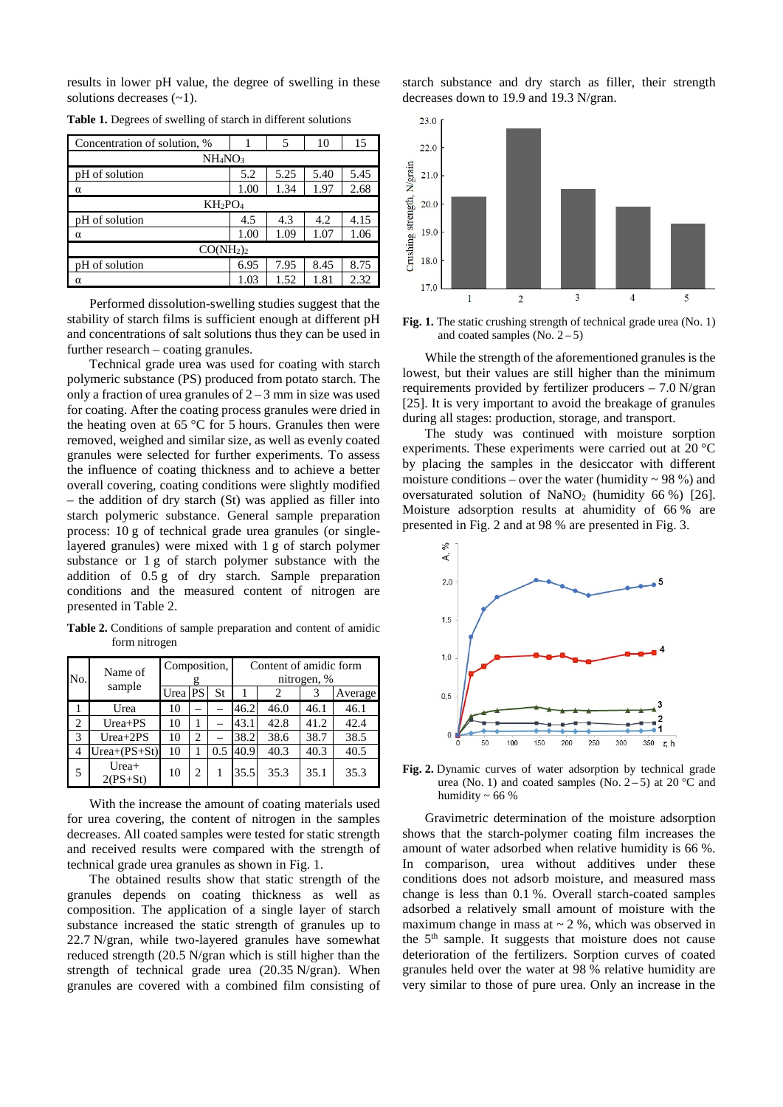results in lower pH value, the degree of swelling in these solutions decreases (~1).

| Concentration of solution, %      |      | 5    | 10   | 15   |  |  |  |  |  |
|-----------------------------------|------|------|------|------|--|--|--|--|--|
| NH <sub>4</sub> NO <sub>3</sub>   |      |      |      |      |  |  |  |  |  |
| pH of solution                    | 5.2  | 5.25 | 5.40 | 5.45 |  |  |  |  |  |
| α                                 | 1.00 | 1.34 | 1.97 | 2.68 |  |  |  |  |  |
| KH <sub>2</sub> PO <sub>4</sub>   |      |      |      |      |  |  |  |  |  |
|                                   |      |      |      |      |  |  |  |  |  |
| pH of solution                    | 4.5  | 4.3  | 4.2  | 4.15 |  |  |  |  |  |
| α                                 | 1.00 | 1.09 | 1.07 | 1.06 |  |  |  |  |  |
| CO(NH <sub>2</sub> ) <sub>2</sub> |      |      |      |      |  |  |  |  |  |
| pH of solution                    | 6.95 | 7.95 | 8.45 | 8.75 |  |  |  |  |  |

**Table 1.** Degrees of swelling of starch in different solutions

Performed dissolution-swelling studies suggest that the stability of starch films is sufficient enough at different pH and concentrations of salt solutions thus they can be used in further research – coating granules.

Technical grade urea was used for coating with starch polymeric substance (PS) produced from potato starch. The only a fraction of urea granules of  $2 - 3$  mm in size was used for coating. After the coating process granules were dried in the heating oven at 65  $\degree$ C for 5 hours. Granules then were removed, weighed and similar size, as well as evenly coated granules were selected for further experiments. To assess the influence of coating thickness and to achieve a better overall covering, coating conditions were slightly modified – the addition of dry starch (St) was applied as filler into starch polymeric substance. General sample preparation process: 10 g of technical grade urea granules (or singlelayered granules) were mixed with 1 g of starch polymer substance or 1 g of starch polymer substance with the addition of 0.5 g of dry starch. Sample preparation conditions and the measured content of nitrogen are presented in Table 2.

**Table 2.** Conditions of sample preparation and content of amidic form nitrogen

| No.            | Name of<br>sample       | Composition, |                | Content of amidic form<br>nitrogen, % |      |                             |      |         |
|----------------|-------------------------|--------------|----------------|---------------------------------------|------|-----------------------------|------|---------|
|                |                         | Urea PS      |                | St                                    |      | $\mathcal{D}_{\mathcal{L}}$ | 3    | Average |
|                | Urea                    | 10           |                |                                       | 46.2 | 46.0                        | 46.1 | 46.1    |
| $\overline{2}$ | $Urea+PS$               | 10           |                |                                       | 43.1 | 42.8                        | 41.2 | 42.4    |
| 3              | $Urea+2PS$              | 10           | 2              |                                       | 38.2 | 38.6                        | 38.7 | 38.5    |
| 4              | $Urea+(PS+St)$          | 10           |                | 0.5                                   | 40.9 | 40.3                        | 40.3 | 40.5    |
| 5              | $Urea+$<br>$2(PS + St)$ | 10           | $\mathfrak{D}$ |                                       | 35.5 | 35.3                        | 35.1 | 35.3    |

With the increase the amount of coating materials used for urea covering, the content of nitrogen in the samples decreases. All coated samples were tested for static strength and received results were compared with the strength of technical grade urea granules as shown in Fig. 1.

The obtained results show that static strength of the granules depends on coating thickness as well as composition. The application of a single layer of starch substance increased the static strength of granules up to 22.7 N/gran, while two-layered granules have somewhat reduced strength (20.5 N/gran which is still higher than the strength of technical grade urea (20.35 N/gran). When granules are covered with a combined film consisting of starch substance and dry starch as filler, their strength decreases down to 19.9 and 19.3 N/gran.



**Fig. 1.** The static crushing strength of technical grade urea (No. 1) and coated samples (No.  $2-5$ )

While the strength of the aforementioned granules is the lowest, but their values are still higher than the minimum requirements provided by fertilizer producers – 7.0 N/gran [25]. It is very important to avoid the breakage of granules during all stages: production, storage, and transport.

The study was continued with moisture sorption experiments. These experiments were carried out at 20 °C by placing the samples in the desiccator with different moisture conditions – over the water (humidity  $\sim$  98 %) and oversaturated solution of  $NaNO<sub>2</sub>$  (humidity 66%) [26]. Moisture adsorption results at ahumidity of 66 % are presented in Fig. 2 and at 98 % are presented in Fig. 3.



**Fig. 2.** Dynamic curves of water adsorption by technical grade urea (No. 1) and coated samples (No.  $2-5$ ) at 20 °C and humidity  $\sim 66$  %

Gravimetric determination of the moisture adsorption shows that the starch-polymer coating film increases the amount of water adsorbed when relative humidity is 66 %. In comparison, urea without additives under these conditions does not adsorb moisture, and measured mass change is less than 0.1 %. Overall starch-coated samples adsorbed a relatively small amount of moisture with the maximum change in mass at  $\sim$  2 %, which was observed in the  $5<sup>th</sup>$  sample. It suggests that moisture does not cause deterioration of the fertilizers. Sorption curves of coated granules held over the water at 98 % relative humidity are very similar to those of pure urea. Only an increase in the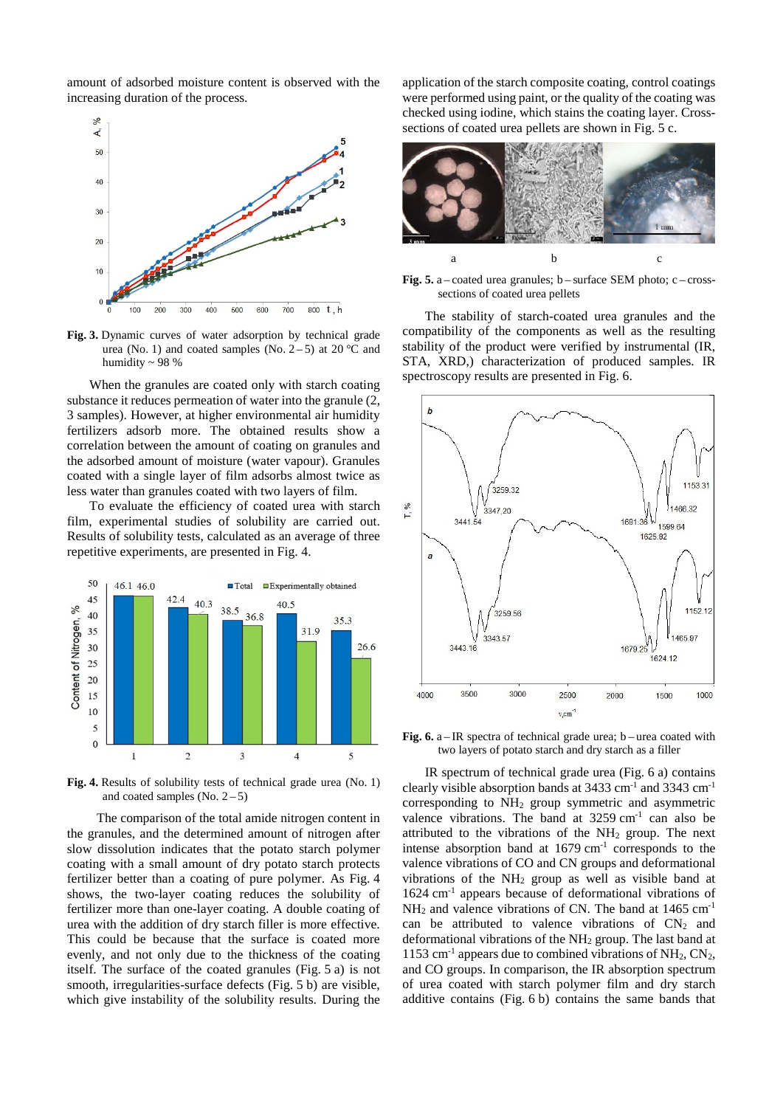amount of adsorbed moisture content is observed with the increasing duration of the process.



**Fig. 3.** Dynamic curves of water adsorption by technical grade urea (No. 1) and coated samples (No.  $2-5$ ) at  $20^{\circ}$ C and humidity ~ 98 %

When the granules are coated only with starch coating substance it reduces permeation of water into the granule (2, 3 samples). However, at higher environmental air humidity fertilizers adsorb more. The obtained results show a correlation between the amount of coating on granules and the adsorbed amount of moisture (water vapour). Granules coated with a single layer of film adsorbs almost twice as less water than granules coated with two layers of film.

To evaluate the efficiency of coated urea with starch film, experimental studies of solubility are carried out. Results of solubility tests, calculated as an average of three repetitive experiments, are presented in Fig. 4.



**Fig. 4.** Results of solubility tests of technical grade urea (No. 1) and coated samples (No.  $2-5$ )

The comparison of the total amide nitrogen content in the granules, and the determined amount of nitrogen after slow dissolution indicates that the potato starch polymer coating with a small amount of dry potato starch protects fertilizer better than a coating of pure polymer. As Fig. 4 shows, the two-layer coating reduces the solubility of fertilizer more than one-layer coating. A double coating of urea with the addition of dry starch filler is more effective. This could be because that the surface is coated more evenly, and not only due to the thickness of the coating itself. The surface of the coated granules (Fig. 5 a) is not smooth, irregularities-surface defects (Fig. 5 b) are visible, which give instability of the solubility results. During the

application of the starch composite coating, control coatings were performed using paint, or the quality of the coating was checked using iodine, which stains the coating layer. Crosssections of coated urea pellets are shown in Fig. 5 c.



**Fig. 5.** a – coated urea granules; b – surface SEM photo; c – crosssections of coated urea pellets

The stability of starch-coated urea granules and the compatibility of the components as well as the resulting stability of the product were verified by instrumental (IR, STA, XRD,) characterization of produced samples. IR spectroscopy results are presented in Fig. 6.



**Fig. 6.** a – IR spectra of technical grade urea; b – urea coated with two layers of potato starch and dry starch as a filler

IR spectrum of technical grade urea (Fig. 6 a) contains clearly visible absorption bands at 3433 cm-1 and 3343 cm-1 corresponding to NH2 group symmetric and asymmetric valence vibrations. The band at 3259 cm<sup>-1</sup> can also be attributed to the vibrations of the  $NH<sub>2</sub>$  group. The next intense absorption band at  $1679 \text{ cm}^{-1}$  corresponds to the valence vibrations of CO and CN groups and deformational vibrations of the NH2 group as well as visible band at 1624 cm-1 appears because of deformational vibrations of  $NH<sub>2</sub>$  and valence vibrations of CN. The band at 1465 cm<sup>-1</sup> can be attributed to valence vibrations of  $CN<sub>2</sub>$  and deformational vibrations of the NH2 group. The last band at 1153 cm<sup>-1</sup> appears due to combined vibrations of  $NH_2$ ,  $CN_2$ , and CO groups. In comparison, the IR absorption spectrum of urea coated with starch polymer film and dry starch additive contains (Fig. 6 b) contains the same bands that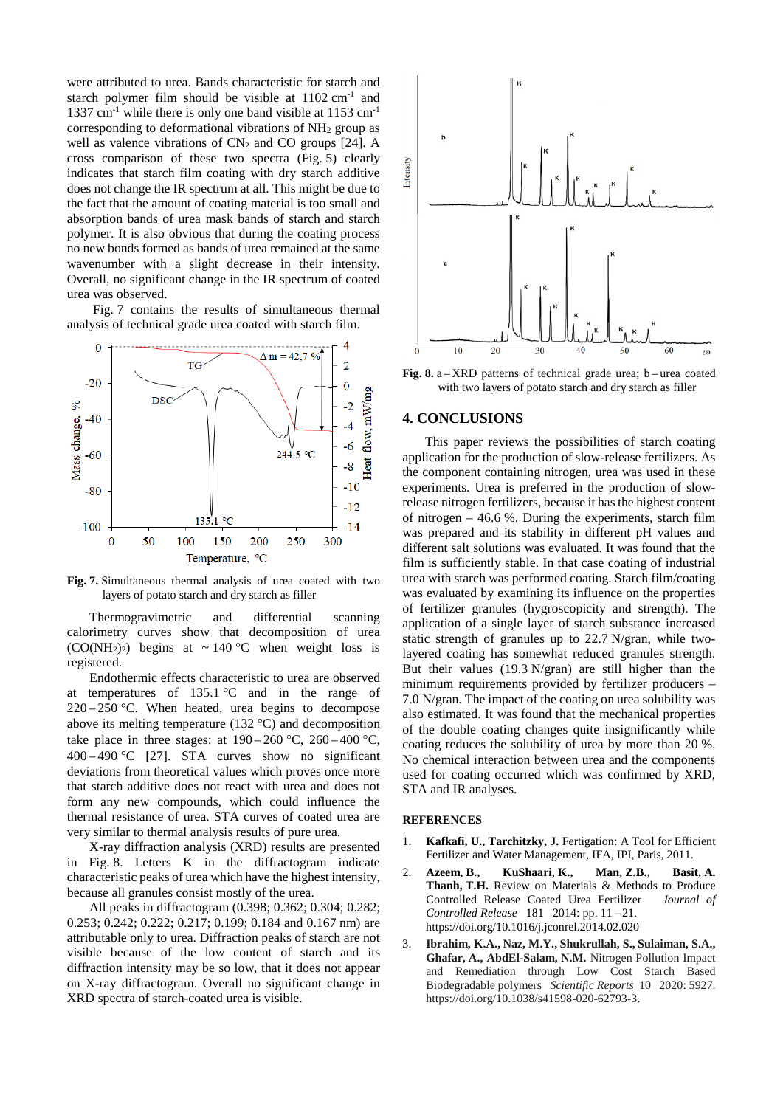were attributed to urea. Bands characteristic for starch and starch polymer film should be visible at  $1102 \text{ cm}^{-1}$  and 1337 cm<sup>-1</sup> while there is only one band visible at  $1153$  cm<sup>-1</sup> corresponding to deformational vibrations of  $NH<sub>2</sub>$  group as well as valence vibrations of  $CN_2$  and CO groups [24]. A cross comparison of these two spectra (Fig. 5) clearly indicates that starch film coating with dry starch additive does not change the IR spectrum at all. This might be due to the fact that the amount of coating material is too small and absorption bands of urea mask bands of starch and starch polymer. It is also obvious that during the coating process no new bonds formed as bands of urea remained at the same wavenumber with a slight decrease in their intensity. Overall, no significant change in the IR spectrum of coated urea was observed.

Fig. 7 contains the results of simultaneous thermal analysis of technical grade urea coated with starch film.



**Fig. 7.** Simultaneous thermal analysis of urea coated with two layers of potato starch and dry starch as filler

Thermogravimetric and differential scanning calorimetry curves show that decomposition of urea  $(CO(NH_2)_2)$  begins at ~140 °C when weight loss is registered.

Endothermic effects characteristic to urea are observed at temperatures of  $135.1 \degree C$  and in the range of  $220 - 250$  °C. When heated, urea begins to decompose above its melting temperature (132 °C) and decomposition take place in three stages: at  $190-260$  °C,  $260-400$  °C,  $400 - 490$  °C [27]. STA curves show no significant deviations from theoretical values which proves once more that starch additive does not react with urea and does not form any new compounds, which could influence the thermal resistance of urea. STA curves of coated urea are very similar to thermal analysis results of pure urea.

X-ray diffraction analysis (XRD) results are presented in Fig. 8. Letters K in the diffractogram indicate characteristic peaks of urea which have the highest intensity, because all granules consist mostly of the urea.

All peaks in diffractogram (0.398; 0.362; 0.304; 0.282; 0.253; 0.242; 0.222; 0.217; 0.199; 0.184 and 0.167 nm) are attributable only to urea. Diffraction peaks of starch are not visible because of the low content of starch and its diffraction intensity may be so low, that it does not appear on X-ray diffractogram. Overall no significant change in XRD spectra of starch-coated urea is visible.



**Fig. 8.** a – XRD patterns of technical grade urea; b – urea coated with two layers of potato starch and dry starch as filler

#### **4. CONCLUSIONS**

This paper reviews the possibilities of starch coating application for the production of slow-release fertilizers. As the component containing nitrogen, urea was used in these experiments. Urea is preferred in the production of slowrelease nitrogen fertilizers, because it has the highest content of nitrogen – 46.6 %. During the experiments, starch film was prepared and its stability in different pH values and different salt solutions was evaluated. It was found that the film is sufficiently stable. In that case coating of industrial urea with starch was performed coating. Starch film/coating was evaluated by examining its influence on the properties of fertilizer granules (hygroscopicity and strength). The application of a single layer of starch substance increased static strength of granules up to 22.7 N/gran, while twolayered coating has somewhat reduced granules strength. But their values (19.3 N/gran) are still higher than the minimum requirements provided by fertilizer producers – 7.0 N/gran. The impact of the coating on urea solubility was also estimated. It was found that the mechanical properties of the double coating changes quite insignificantly while coating reduces the solubility of urea by more than 20 %. No chemical interaction between urea and the components used for coating occurred which was confirmed by XRD, STA and IR analyses.

#### **REFERENCES**

- 1. **Kafkafi, U., Tarchitzky, J.** Fertigation: A Tool for Efficient Fertilizer and Water Management, IFA, IPI, Paris, 2011.
- 2. **Azeem, B., KuShaari, K., Man, Z.B., Basit, A. Thanh, T.H.** Review on Materials & Methods to Produce Controlled Release Coated Urea Fertilizer *Journal of Controlled Release* 181 2014: pp. 11 – 21. https://doi.org/10.1016/j.jconrel.2014.02.020
- 3. **Ibrahim, K.A., Naz, M.Y., Shukrullah, S., Sulaiman, S.A., Ghafar, A., AbdEl-Salam, N.M***.* Nitrogen Pollution Impact and Remediation through Low Cost Starch Based Biodegradable polymers *Scientific Reports* 10 2020: 5927. https://doi.org/10.1038/s41598-020-62793-3.